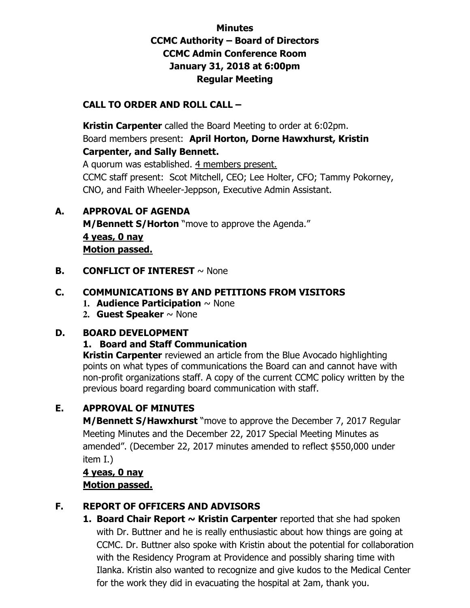# **Minutes CCMC Authority – Board of Directors CCMC Admin Conference Room January 31, 2018 at 6:00pm Regular Meeting**

# **CALL TO ORDER AND ROLL CALL –**

 **Kristin Carpenter** called the Board Meeting to order at 6:02pm. Board members present: **April Horton, Dorne Hawxhurst, Kristin Carpenter, and Sally Bennett.** 

A quorum was established. 4 members present. CCMC staff present: Scot Mitchell, CEO; Lee Holter, CFO; Tammy Pokorney, CNO, and Faith Wheeler-Jeppson, Executive Admin Assistant.

# **A. APPROVAL OF AGENDA**

**M/Bennett S/Horton** "move to approve the Agenda." **4 yeas, 0 nay Motion passed.** 

**B. CONFLICT OF INTEREST**  $\sim$  None

# **C. COMMUNICATIONS BY AND PETITIONS FROM VISITORS**

- **1. Audience Participation** ~ None
- **2. Guest Speaker** ~ None

#### **D. BOARD DEVELOPMENT**

#### **1. Board and Staff Communication**

**Kristin Carpenter** reviewed an article from the Blue Avocado highlighting points on what types of communications the Board can and cannot have with non-profit organizations staff. A copy of the current CCMC policy written by the previous board regarding board communication with staff.

# **E. APPROVAL OF MINUTES**

**M/Bennett S/Hawxhurst** "move to approve the December 7, 2017 Regular Meeting Minutes and the December 22, 2017 Special Meeting Minutes as amended". (December 22, 2017 minutes amended to reflect \$550,000 under item I.)

# **4 yeas, 0 nay Motion passed.**

# **F. REPORT OF OFFICERS AND ADVISORS**

1. Board Chair Report ~ Kristin Carpenter reported that she had spoken with Dr. Buttner and he is really enthusiastic about how things are going at CCMC. Dr. Buttner also spoke with Kristin about the potential for collaboration with the Residency Program at Providence and possibly sharing time with Ilanka. Kristin also wanted to recognize and give kudos to the Medical Center for the work they did in evacuating the hospital at 2am, thank you.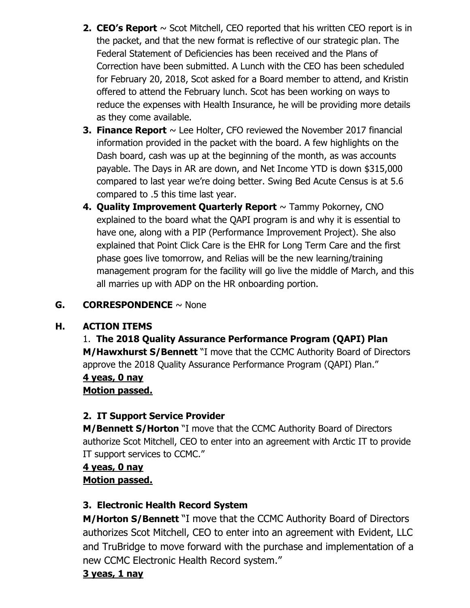- **2. CEO's Report**  $\sim$  Scot Mitchell, CEO reported that his written CEO report is in the packet, and that the new format is reflective of our strategic plan. The Federal Statement of Deficiencies has been received and the Plans of Correction have been submitted. A Lunch with the CEO has been scheduled for February 20, 2018, Scot asked for a Board member to attend, and Kristin offered to attend the February lunch. Scot has been working on ways to reduce the expenses with Health Insurance, he will be providing more details as they come available.
- **3. Finance Report**  $\sim$  Lee Holter, CFO reviewed the November 2017 financial information provided in the packet with the board. A few highlights on the Dash board, cash was up at the beginning of the month, as was accounts payable. The Days in AR are down, and Net Income YTD is down \$315,000 compared to last year we're doing better. Swing Bed Acute Census is at 5.6 compared to .5 this time last year.
- **4. Quality Improvement Quarterly Report** ~ Tammy Pokorney, CNO explained to the board what the QAPI program is and why it is essential to have one, along with a PIP (Performance Improvement Project). She also explained that Point Click Care is the EHR for Long Term Care and the first phase goes live tomorrow, and Relias will be the new learning/training management program for the facility will go live the middle of March, and this all marries up with ADP on the HR onboarding portion.

# **G. CORRESPONDENCE** ~ None

# **H. ACTION ITEMS**

# 1. **The 2018 Quality Assurance Performance Program (QAPI) Plan M/Hawxhurst S/Bennett** "I move that the CCMC Authority Board of Directors approve the 2018 Quality Assurance Performance Program (QAPI) Plan."

# **4 yeas, 0 nay**

**Motion passed.** 

# **2. IT Support Service Provider**

**M/Bennett S/Horton** "I move that the CCMC Authority Board of Directors authorize Scot Mitchell, CEO to enter into an agreement with Arctic IT to provide IT support services to CCMC."

# **4 yeas, 0 nay Motion passed.**

# **3. Electronic Health Record System**

**M/Horton S/Bennett** "I move that the CCMC Authority Board of Directors authorizes Scot Mitchell, CEO to enter into an agreement with Evident, LLC and TruBridge to move forward with the purchase and implementation of a new CCMC Electronic Health Record system."

# **3 yeas, 1 nay**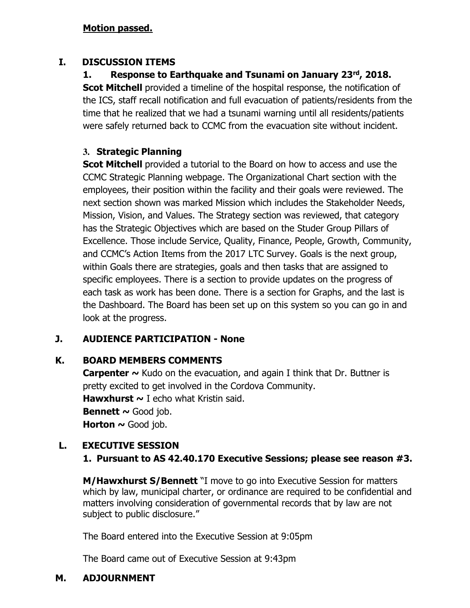#### **Motion passed.**

#### **I. DISCUSSION ITEMS**

**1. Response to Earthquake and Tsunami on January 23rd, 2018. Scot Mitchell** provided a timeline of the hospital response, the notification of the ICS, staff recall notification and full evacuation of patients/residents from the time that he realized that we had a tsunami warning until all residents/patients were safely returned back to CCMC from the evacuation site without incident.

# **3. Strategic Planning**

**Scot Mitchell** provided a tutorial to the Board on how to access and use the CCMC Strategic Planning webpage. The Organizational Chart section with the employees, their position within the facility and their goals were reviewed. The next section shown was marked Mission which includes the Stakeholder Needs, Mission, Vision, and Values. The Strategy section was reviewed, that category has the Strategic Objectives which are based on the Studer Group Pillars of Excellence. Those include Service, Quality, Finance, People, Growth, Community, and CCMC's Action Items from the 2017 LTC Survey. Goals is the next group, within Goals there are strategies, goals and then tasks that are assigned to specific employees. There is a section to provide updates on the progress of each task as work has been done. There is a section for Graphs, and the last is the Dashboard. The Board has been set up on this system so you can go in and look at the progress.

# **J. AUDIENCE PARTICIPATION - None**

# **K. BOARD MEMBERS COMMENTS**

**Carpenter ~** Kudo on the evacuation, and again I think that Dr. Buttner is pretty excited to get involved in the Cordova Community. **Hawxhurst ~** I echo what Kristin said. **Bennett**  $\sim$  Good job. **Horton**  $\sim$  **Good job.** 

# **L. EXECUTIVE SESSION**

# **1. Pursuant to AS 42.40.170 Executive Sessions; please see reason #3.**

**M/Hawxhurst S/Bennett** "I move to go into Executive Session for matters which by law, municipal charter, or ordinance are required to be confidential and matters involving consideration of governmental records that by law are not subject to public disclosure."

The Board entered into the Executive Session at 9:05pm

The Board came out of Executive Session at 9:43pm

# **M. ADJOURNMENT**